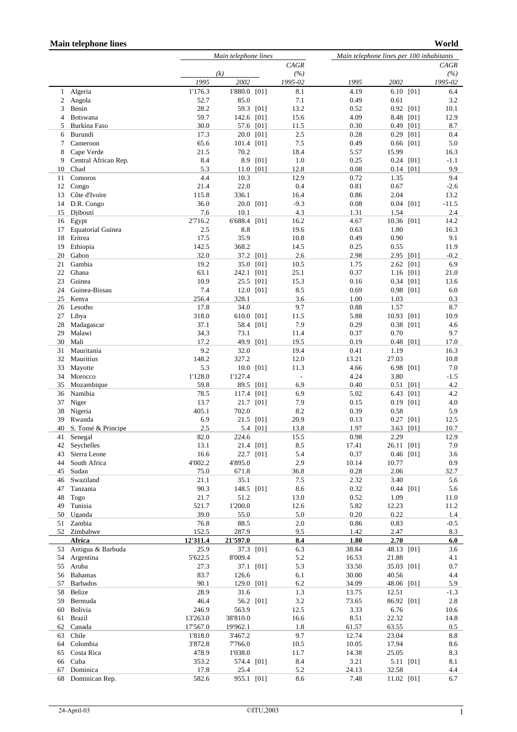## **Main telephone lines**

```
World
```

|          |                                | Main telephone lines |                    |           |                          | Main telephone lines per 100 inhabitants |                      |      |                |
|----------|--------------------------------|----------------------|--------------------|-----------|--------------------------|------------------------------------------|----------------------|------|----------------|
|          |                                |                      |                    |           | CAGR                     |                                          |                      |      | <b>CAGR</b>    |
|          |                                | 1995                 | (k)<br>2002        |           | (%)<br>1995-02           | 1995                                     | 2002                 |      | (%)<br>1995-02 |
| 1        | Algeria                        | 1'176.3              | 1'880.0 [01]       |           | 8.1                      | 4.19                                     | 6.10 [01]            |      | 6.4            |
| 2        | Angola                         | 52.7                 | 85.0               |           | 7.1                      | 0.49                                     | 0.61                 |      | 3.2            |
| 3        | Benin                          | 28.2                 | 59.3 [01]          |           | 13.2                     | 0.52                                     | $0.92$ [01]          |      | 10.1           |
| 4        | Botswana                       | 59.7                 | 142.6              | [01]      | 15.6                     | 4.09                                     | 8.48                 | [01] | 12.9           |
| 5        | Burkina Faso                   | 30.0                 |                    | 57.6 [01] | 11.5                     | 0.30                                     | $0.49$ [01]          |      | 8.7            |
| 6        | Burundi                        | 17.3                 | 20.0 [01]          |           | 2.5                      | 0.28                                     | $0.29$ [01]          |      | 0.4            |
| 7<br>8   | Cameroon<br>Cape Verde         | 65.6<br>21.5         | 101.4 [01]<br>70.2 |           | 7.5<br>18.4              | 0.49<br>5.57                             | $0.66$ [01]<br>15.99 |      | 5.0<br>16.3    |
| 9        | Central African Rep.           | 8.4                  | 8.9                | [01]      | 1.0                      | 0.25                                     | $0.24$ [01]          |      | $-1.1$         |
| 10       | Chad                           | 5.3                  | 11.0               | [01]      | 12.8                     | 0.08                                     | $0.14$ [01]          |      | 9.9            |
| 11       | Comoros                        | 4.4                  | 10.3               |           | 12.9                     | 0.72                                     | 1.35                 |      | 9.4            |
| 12       | Congo                          | 21.4                 | 22.0               |           | 0.4                      | 0.81                                     | 0.67                 |      | $-2.6$         |
| 13       | Côte d'Ivoire                  | 115.8                | 336.1              |           | 16.4                     | 0.86                                     | 2.04                 |      | 13.2           |
| 15       | 14 D.R. Congo<br>Djibouti      | 36.0<br>7.6          | 20.0 [01]<br>10.1  |           | $-9.3$<br>4.3            | 0.08<br>1.31                             | $0.04$ [01]<br>1.54  |      | $-11.5$<br>2.4 |
| 16       | Egypt                          | 2'716.2              | 6'688.4 [01]       |           | 16.2                     | 4.67                                     | 10.36                | [01] | 14.2           |
| 17       | <b>Equatorial Guinea</b>       | 2.5                  | 8.8                |           | 19.6                     | 0.63                                     | 1.80                 |      | 16.3           |
| 18       | Eritrea                        | 17.5                 | 35.9               |           | 10.8                     | 0.49                                     | 0.90                 |      | 9.1            |
| 19       | Ethiopia                       | 142.5                | 368.2              |           | 14.5                     | 0.25                                     | 0.55                 |      | 11.9           |
| 20       | Gabon                          | 32.0                 | 37.2 [01]          |           | 2.6                      | 2.98                                     | 2.95 [01]            |      | $-0.2$         |
| 21       | Gambia                         | 19.2<br>63.1         | 35.0               | [01]      | 10.5                     | 1.75                                     | 2.62 [01]            |      | 6.9            |
| 22<br>23 | Ghana<br>Guinea                | 10.9                 | 242.1<br>25.5 [01] | [01]      | 25.1<br>15.3             | 0.37<br>0.16                             | 1.16 [01]<br>0.34    | [01] | 21.0<br>13.6   |
| 24       | Guinea-Bissau                  | 7.4                  | 12.0 [01]          |           | 8.5                      | 0.69                                     | $0.98$ [01]          |      | 6.0            |
| 25       | Kenya                          | 256.4                | 328.1              |           | 3.6                      | 1.00                                     | 1.03                 |      | 0.3            |
| 26       | Lesotho                        | 17.8                 | 34.0               |           | 9.7                      | 0.88                                     | 1.57                 |      | 8.7            |
| 27       | Libya                          | 318.0                | 610.0              | [01]      | 11.5                     | 5.88                                     | 10.93                | [01] | 10.9           |
| 28       | Madagascar                     | 37.1                 | 58.4               | [01]      | 7.9                      | 0.29                                     | 0.38                 | [01] | 4.6            |
| 29       | Malawi                         | 34.3                 | 73.1               |           | 11.4                     | 0.37                                     | 0.70                 |      | 9.7            |
| 30<br>31 | Mali<br>Mauritania             | 17.2<br>9.2          | 49.9 [01]<br>32.0  |           | 19.5<br>19.4             | 0.19<br>0.41                             | 0.48<br>1.19         | [01] | 17.0<br>16.3   |
| 32       | Mauritius                      | 148.2                | 327.2              |           | 12.0                     | 13.21                                    | 27.03                |      | 10.8           |
| 33       | Mayotte                        | 5.3                  | 10.0               | [01]      | 11.3                     | 4.66                                     | 6.98 [01]            |      | 7.0            |
| 34       | Morocco                        | 1'128.0              | 1'127.4            |           | $\overline{\phantom{a}}$ | 4.24                                     | 3.80                 |      | $-1.5$         |
| 35       | Mozambique                     | 59.8                 | 89.5 [01]          |           | 6.9                      | 0.40                                     | 0.51                 | [01] | 4.2            |
| 36       | Namibia                        | 78.5                 | 117.4              | [01]      | 6.9                      | 5.02                                     | 6.43                 | [01] | 4.2            |
| 37<br>38 | Niger<br>Nigeria               | 13.7<br>405.1        | 21.7 [01]<br>702.0 |           | 7.9<br>8.2               | 0.15<br>0.39                             | $0.19$ [01]<br>0.58  |      | 4.0<br>5.9     |
| 39       | Rwanda                         | 6.9                  | 21.5               | [01]      | 20.9                     | 0.13                                     | 0.27                 | [01] | 12.5           |
| 40       | S. Tomé & Principe             | 2.5                  |                    | 5.4 [01]  | 13.8                     | 1.97                                     | 3.63                 | [01] | 10.7           |
| 41       | Senegal                        | 82.0                 | 224.6              |           | 15.5                     | 0.98                                     | 2.29                 |      | 12.9           |
| 42       | Seychelles                     | 13.1                 | 21.4 [01]          |           | 8.5                      | 17.41                                    | 26.11 [01]           |      | 7.0            |
| 43       | Sierra Leone                   | 16.6                 | 22.7 [01]          |           | 5.4                      | 0.37                                     | 0.46 [01]            |      | 3.6            |
| 44       | South Africa                   | 4'002.2              | 4'895.0            |           | 2.9                      | 10.14                                    | 10.77                |      | 0.9            |
| 45<br>46 | Sudan<br>Swaziland             | 75.0<br>21.1         | 671.8<br>35.1      |           | 36.8<br>7.5              | 0.28<br>2.32                             | 2.06<br>3.40         |      | 32.7<br>5.6    |
| 47       | Tanzania                       | 90.3                 | 148.5 [01]         |           | 8.6                      | 0.32                                     | $0.44$ [01]          |      | 5.6            |
| 48       | Togo                           | 21.7                 | 51.2               |           | 13.0                     | 0.52                                     | 1.09                 |      | 11.0           |
| 49       | Tunisia                        | 521.7                | 1'200.0            |           | 12.6                     | 5.82                                     | 12.23                |      | 11.2           |
|          | 50 Uganda                      | 39.0                 | 55.0               |           | 5.0                      | 0.20                                     | 0.22                 |      | 1.4            |
| 51       | Zambia                         | 76.8                 | 88.5               |           | $2.0\,$                  | 0.86                                     | 0.83                 |      | $-0.5$         |
| 52       | Zimbabwe                       | 152.5                | 287.9              |           | 9.5                      | 1.42                                     | 2.47                 |      | 8.3            |
|          | Africa<br>53 Antigua & Barbuda | 12'311.4<br>25.9     | 21'597.0           | 37.3 [01] | 8.4<br>6.3               | 1.80<br>38.84                            | 2.70<br>48.13 [01]   |      | 6.0<br>3.6     |
| 54       | Argentina                      | 5'622.5              | 8'009.4            |           | 5.2                      | 16.53                                    | 21.88                |      | 4.1            |
| 55       | Aruba                          | 27.3                 | 37.1 [01]          |           | 5.3                      | 33.50                                    | 35.03 [01]           |      | $0.7\,$        |
| 56       | Bahamas                        | 83.7                 | 126.6              |           | 6.1                      | 30.00                                    | 40.56                |      | 4.4            |
| 57       | Barbados                       | 90.1                 | 129.0 [01]         |           | 6.2                      | 34.09                                    | 48.06 [01]           |      | 5.9            |
| 58       | Belize                         | 28.9                 | 31.6               |           | 1.3                      | 13.75                                    | 12.51                |      | $-1.3$         |
| 59       | Bermuda                        | 46.4                 | 56.2 [01]          |           | $3.2\,$                  | 73.65                                    | 86.92 [01]           |      | 2.8            |
| 60<br>61 | Bolivia<br>Brazil              | 246.9<br>13'263.0    | 563.9<br>38'810.0  |           | 12.5<br>16.6             | 3.33<br>8.51                             | 6.76<br>22.32        |      | 10.6<br>14.8   |
| 62       | Canada                         | 17'567.0             | 19'962.1           |           | 1.8                      | 61.57                                    | 63.55                |      | 0.5            |
| 63       | Chile                          | 1'818.0              | 3'467.2            |           | 9.7                      | 12.74                                    | 23.04                |      | 8.8            |
| 64       | Colombia                       | 3'872.8              | 7'766.0            |           | 10.5                     | 10.05                                    | 17.94                |      | 8.6            |
| 65       | Costa Rica                     | 478.9                | 1'038.0            |           | 11.7                     | 14.38                                    | 25.05                |      | 8.3            |
| 66       | Cuba                           | 353.2                | 574.4 [01]         |           | 8.4                      | 3.21                                     | 5.11 [01]            |      | 8.1            |
| 67       | Dominica<br>68 Dominican Rep.  | 17.8<br>582.6        | 25.4<br>955.1 [01] |           | 5.2<br>8.6               | 24.13<br>7.48                            | 32.58<br>11.02 [01]  |      | 4.4<br>6.7     |
|          |                                |                      |                    |           |                          |                                          |                      |      |                |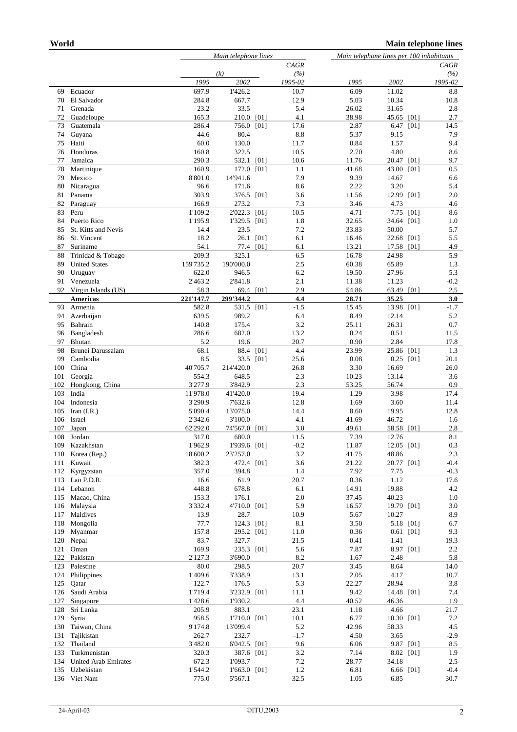|            |                                           |                    | Main telephone lines |           |               |                | Main telephone lines per 100 inhabitants |               |  |  |
|------------|-------------------------------------------|--------------------|----------------------|-----------|---------------|----------------|------------------------------------------|---------------|--|--|
|            |                                           |                    | CAGR                 |           |               | CAGR           |                                          |               |  |  |
|            |                                           |                    | (k)                  |           | (%)           |                |                                          | (%)           |  |  |
|            |                                           | 1995               | 2002                 |           | 1995-02       | 1995           | 2002                                     | 1995-02       |  |  |
| 69         | Ecuador                                   | 697.9              | 1'426.2              |           | 10.7          | 6.09           | 11.02                                    | 8.8           |  |  |
| 70         | El Salvador                               | 284.8              | 667.7                |           | 12.9          | 5.03           | 10.34                                    | 10.8          |  |  |
| 71         | Grenada                                   | 23.2               | 33.5                 |           | 5.4           | 26.02          | 31.65                                    | 2.8           |  |  |
| 72         | Guadeloupe                                | 165.3              | 210.0                | [01]      | 4.1           | 38.98          | [01]<br>45.65                            | 2.7           |  |  |
| 73<br>74   | Guatemala<br>Guyana                       | 286.4<br>44.6      | 756.0 [01]<br>80.4   |           | 17.6<br>8.8   | 2.87<br>5.37   | 6.47 [01]<br>9.15                        | 14.5<br>7.9   |  |  |
| 75         | Haiti                                     | 60.0               | 130.0                |           | 11.7          | 0.84           | 1.57                                     | 9.4           |  |  |
| 76         | Honduras                                  | 160.8              | 322.5                |           | 10.5          | 2.70           | 4.80                                     | 8.6           |  |  |
| 77         | Jamaica                                   | 290.3              | 532.1 [01]           |           | 10.6          | 11.76          | 20.47 [01]                               | 9.7           |  |  |
| 78         | Martinique                                | 160.9              | 172.0                | [01]      | 1.1           | 41.68          | 43.00<br>[01]                            | 0.5           |  |  |
| 79         | Mexico                                    | 8'801.0            | 14'941.6             |           | 7.9           | 9.39           | 14.67                                    | 6.6           |  |  |
| 80         | Nicaragua                                 | 96.6               | 171.6                |           | 8.6           | 2.22           | 3.20                                     | 5.4           |  |  |
| 81         | Panama                                    | 303.9              | 376.5 [01]           |           | 3.6           | 11.56          | 12.99<br>[01]                            | 2.0           |  |  |
| 82         | Paraguay                                  | 166.9              | 273.2                |           | 7.3           | 3.46           | 4.73                                     | 4.6           |  |  |
| 83         | Peru                                      | 1'109.2            | 2'022.3 [01]         |           | 10.5          | 4.71           | 7.75 [01]                                | 8.6           |  |  |
| 84         | Puerto Rico                               | 1'195.9            | 1'329.5              | [01]      | 1.8           | 32.65          | 34.64<br>[01]                            | 1.0           |  |  |
| 85         | St. Kitts and Nevis                       | 14.4               | 23.5                 |           | 7.2           | 33.83          | 50.00                                    | 5.7           |  |  |
| 86         | St. Vincent                               | 18.2               |                      | 26.1 [01] | 6.1           | 16.46          | 22.68 [01]                               | 5.5           |  |  |
| 87         | Suriname                                  | 54.1               | 77.4 [01]            |           | 6.1           | 13.21          | 17.58 [01]                               | 4.9           |  |  |
| 88<br>89   | Trinidad & Tobago<br><b>United States</b> | 209.3<br>159'735.2 | 325.1<br>190'000.0   |           | 6.5<br>2.5    | 16.78<br>60.38 | 24.98<br>65.89                           | 5.9<br>1.3    |  |  |
| 90         | Uruguay                                   | 622.0              | 946.5                |           | 6.2           | 19.50          | 27.96                                    | 5.3           |  |  |
| 91         | Venezuela                                 | 2'463.2            | 2'841.8              |           | 2.1           | 11.38          | 11.23                                    | $-0.2$        |  |  |
| 92         | Virgin Islands (US)                       | 58.3               |                      | 69.4 [01] | 2.9           | 54.86          | 63.49<br>[01]                            | 2.5           |  |  |
|            | <b>Americas</b>                           | 221'147.7          | 299'344.2            |           | 4.4           | 28.71          | 35.25                                    | 3.0           |  |  |
| 93         | Armenia                                   | 582.8              | 531.5 [01]           |           | $-1.5$        | 15.45          | 13.98 [01]                               | $-1.7$        |  |  |
| 94         | Azerbaijan                                | 639.5              | 989.2                |           | 6.4           | 8.49           | 12.14                                    | 5.2           |  |  |
| 95         | Bahrain                                   | 140.8              | 175.4                |           | 3.2           | 25.11          | 26.31                                    | 0.7           |  |  |
| 96         | Bangladesh                                | 286.6              | 682.0                |           | 13.2          | 0.24           | 0.51                                     | 11.5          |  |  |
| 97         | Bhutan                                    | 5.2                | 19.6                 |           | 20.7          | 0.90           | 2.84                                     | 17.8          |  |  |
| 98         | Brunei Darussalam                         | 68.1               |                      | 88.4 [01] | 4.4           | 23.99          | 25.86 [01]                               | 1.3           |  |  |
| 99         | Cambodia                                  | 8.5                |                      | 33.5 [01] | 25.6          | 0.08           | 0.25<br>[01]                             | 20.1          |  |  |
| 100        | China                                     | 40'705.7<br>554.3  | 214'420.0<br>648.5   |           | 26.8<br>2.3   | 3.30<br>10.23  | 16.69                                    | 26.0<br>3.6   |  |  |
| 101<br>102 | Georgia<br>Hongkong, China                | 3'277.9            | 3'842.9              |           | 2.3           | 53.25          | 13.14<br>56.74                           | 0.9           |  |  |
| 103        | India                                     | 11'978.0           | 41'420.0             |           | 19.4          | 1.29           | 3.98                                     | 17.4          |  |  |
| 104        | Indonesia                                 | 3'290.9            | 7'632.6              |           | 12.8          | 1.69           | 3.60                                     | 11.4          |  |  |
| 105        | Iran $(I.R.)$                             | 5'090.4            | 13'075.0             |           | 14.4          | 8.60           | 19.95                                    | 12.8          |  |  |
| 106        | Israel                                    | 2'342.6            | 3'100.0              |           | 4.1           | 41.69          | 46.72                                    | 1.6           |  |  |
| 107        | Japan                                     | 62'292.0           | 74'567.0 [01]        |           | 3.0           | 49.61          | 58.58 [01]                               | 2.8           |  |  |
| 108        | Jordan                                    | 317.0              | 680.0                |           | 11.5          | 7.39           | 12.76                                    | 8.1           |  |  |
| 109        | Kazakhstan                                | 1'962.9            | 1'939.6 [01]         |           | $-0.2$        | 11.87          | 12.05 [01]                               | 0.3           |  |  |
| 110        | Korea (Rep.)                              | 18'600.2           | 23'257.0             |           | 3.2           | 41.75          | 48.86                                    | 2.3           |  |  |
| 111        | Kuwait                                    | 382.3              | 472.4 [01]           |           | 3.6           | 21.22          | 20.77 [01]                               | $-0.4$        |  |  |
| 112        | Kyrgyzstan                                | 357.0              | 394.8                |           | 1.4           | 7.92           | 7.75                                     | $-0.3$        |  |  |
| 113        | Lao P.D.R.                                | 16.6               | 61.9                 |           | 20.7          | 0.36           | 1.12                                     | 17.6          |  |  |
| 114        | Lebanon                                   | 448.8              | 678.8<br>176.1       |           | 6.1           | 14.91          | 19.88                                    | 4.2           |  |  |
| 115        | Macao, China<br>Malaysia                  | 153.3              | 4'710.0 [01]         |           | 2.0<br>5.9    | 37.45          | 40.23                                    | 1.0           |  |  |
| 116<br>117 | Maldives                                  | 3'332.4<br>13.9    | 28.7                 |           | 10.9          | 16.57<br>5.67  | 19.79 [01]<br>10.27                      | 3.0<br>8.9    |  |  |
| 118        | Mongolia                                  | 77.7               | 124.3 [01]           |           | 8.1           | 3.50           | 5.18 [01]                                | 6.7           |  |  |
| 119        | Myanmar                                   | 157.8              | 295.2 [01]           |           | 11.0          | 0.36           | $0.61$ [01]                              | 9.3           |  |  |
| 120        | Nepal                                     | 83.7               | 327.7                |           | 21.5          | 0.41           | 1.41                                     | 19.3          |  |  |
| 121        | Oman                                      | 169.9              | 235.3 [01]           |           | 5.6           | 7.87           | 8.97 [01]                                | 2.2           |  |  |
| 122        | Pakistan                                  | 2'127.3            | 3'690.0              |           | 8.2           | 1.67           | 2.48                                     | 5.8           |  |  |
| 123        | Palestine                                 | 80.0               | 298.5                |           | 20.7          | 3.45           | 8.64                                     | 14.0          |  |  |
| 124        | Philippines                               | 1'409.6            | 3'338.9              |           | 13.1          | 2.05           | 4.17                                     | 10.7          |  |  |
| 125        | Qatar                                     | 122.7              | 176.5                |           | 5.3           | 22.27          | 28.94                                    | 3.8           |  |  |
| 126        | Saudi Arabia                              | 1'719.4            | 3'232.9 [01]         |           | 11.1          | 9.42           | 14.48 [01]                               | 7.4           |  |  |
| 127        | Singapore                                 | 1'428.6            | 1'930.2              |           | 4.4           | 40.52          | 46.36                                    | 1.9           |  |  |
| 128        | Sri Lanka                                 | 205.9              | 883.1                |           | 23.1          | 1.18           | 4.66                                     | 21.7          |  |  |
| 129        | Syria                                     | 958.5              | 1'710.0 [01]         |           | 10.1          | 6.77           | 10.30 [01]                               | 7.2           |  |  |
| 130<br>131 | Taiwan, China<br>Tajikistan               | 9'174.8<br>262.7   | 13'099.4<br>232.7    |           | 5.2<br>$-1.7$ | 42.96<br>4.50  | 58.33<br>3.65                            | 4.5           |  |  |
| 132        | Thailand                                  | 3'482.0            | 6'042.5 [01]         |           | 9.6           | 6.06           | 9.87 [01]                                | $-2.9$<br>8.5 |  |  |
| 133        | Turkmenistan                              | 320.3              | 387.6 [01]           |           | 3.2           | 7.14           | 8.02 [01]                                | 1.9           |  |  |
| 134        | United Arab Emirates                      | 672.3              | 1'093.7              |           | 7.2           | 28.77          | 34.18                                    | 2.5           |  |  |
| 135        | Uzbekistan                                | 1'544.2            | 1'663.0 [01]         |           | 1.2           | 6.81           | 6.66 [01]                                | $-0.4$        |  |  |
| 136        | Viet Nam                                  | 775.0              | 5'567.1              |           | 32.5          | 1.05           | 6.85                                     | 30.7          |  |  |